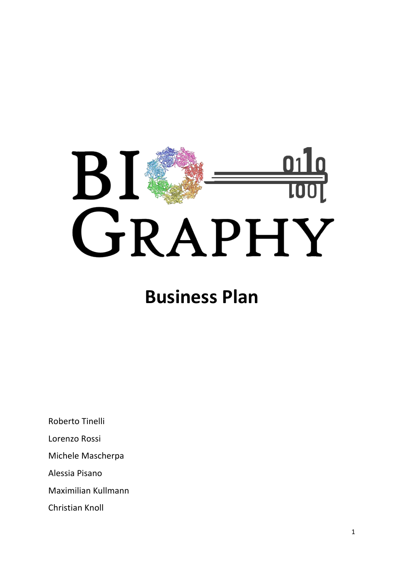

## **Business Plan**

Roberto Tinelli Lorenzo Rossi Michele Mascherpa Alessia Pisano Maximilian Kullmann Christian Knoll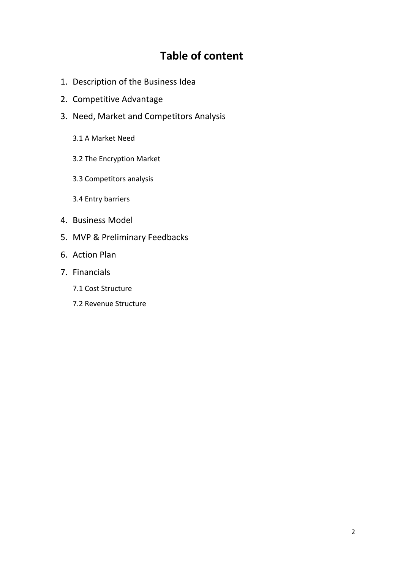## **Table of content**

- 1. Description of the Business Idea
- 2. Competitive Advantage
- 3. Need, Market and Competitors Analysis
	- 3.1 A Market Need
	- 3.2 The Encryption Market
	- 3.3 Competitors analysis
	- 3.4 Entry barriers
- 4. Business Model
- 5. MVP & Preliminary Feedbacks
- 6. Action Plan
- 7. Financials
	- 7.1 Cost Structure
	- 7.2 Revenue Structure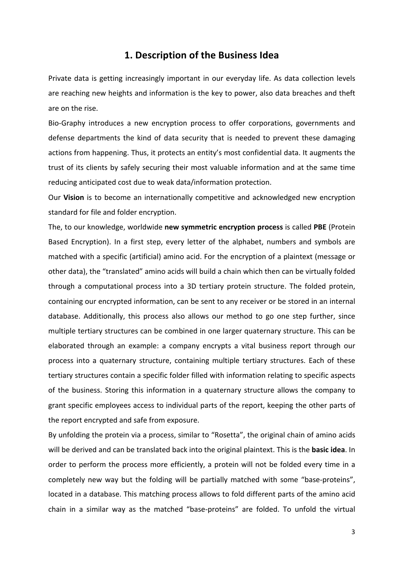## **1. Description of the Business Idea**

Private data is getting increasingly important in our everyday life. As data collection levels are reaching new heights and information is the key to power, also data breaches and theft are on the rise.

Bio-Graphy introduces a new encryption process to offer corporations, governments and defense departments the kind of data security that is needed to prevent these damaging actions from happening. Thus, it protects an entity's most confidential data. It augments the trust of its clients by safely securing their most valuable information and at the same time reducing anticipated cost due to weak data/information protection.

Our **Vision** is to become an internationally competitive and acknowledged new encryption standard for file and folder encryption.

The, to our knowledge, worldwide new symmetric encryption process is called PBE (Protein Based Encryption). In a first step, every letter of the alphabet, numbers and symbols are matched with a specific (artificial) amino acid. For the encryption of a plaintext (message or other data), the "translated" amino acids will build a chain which then can be virtually folded through a computational process into a 3D tertiary protein structure. The folded protein, containing our encrypted information, can be sent to any receiver or be stored in an internal database. Additionally, this process also allows our method to go one step further, since multiple tertiary structures can be combined in one larger quaternary structure. This can be elaborated through an example: a company encrypts a vital business report through our process into a quaternary structure, containing multiple tertiary structures. Each of these tertiary structures contain a specific folder filled with information relating to specific aspects of the business. Storing this information in a quaternary structure allows the company to grant specific employees access to individual parts of the report, keeping the other parts of the report encrypted and safe from exposure.

By unfolding the protein via a process, similar to "Rosetta", the original chain of amino acids will be derived and can be translated back into the original plaintext. This is the **basic idea**. In order to perform the process more efficiently, a protein will not be folded every time in a completely new way but the folding will be partially matched with some "base-proteins", located in a database. This matching process allows to fold different parts of the amino acid chain in a similar way as the matched "base-proteins" are folded. To unfold the virtual